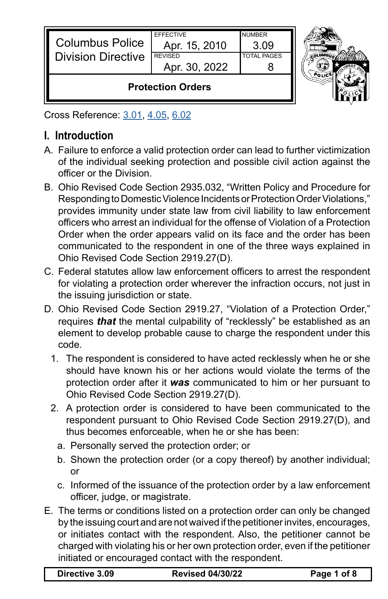| <b>Columbus Police</b><br><b>Division Directive</b> | <b>EFFECTIVE</b><br>Apr. 15, 2010<br><b>REVISED</b><br>Apr. 30, 2022 | <b>NUMBER</b><br>3.09<br><b>TOTAL PAGES</b> |  |
|-----------------------------------------------------|----------------------------------------------------------------------|---------------------------------------------|--|
| <b>Protection Orders</b>                            |                                                                      |                                             |  |

Cross Reference: [3.01](https://powerdms.com/link/CBUS/document/?id=1216776), [4.05](https://powerdms.com/link/CBUS/document/?id=1217370), [6.02](https://powerdms.com/link/CBUS/document/?id=1217703)

## **I. Introduction**

- A. Failure to enforce a valid protection order can lead to further victimization of the individual seeking protection and possible civil action against the officer or the Division.
- B. Ohio Revised Code Section 2935.032, "Written Policy and Procedure for Responding to Domestic Violence Incidents or Protection Order Violations," provides immunity under state law from civil liability to law enforcement officers who arrest an individual for the offense of Violation of a Protection Order when the order appears valid on its face and the order has been communicated to the respondent in one of the three ways explained in Ohio Revised Code Section 2919.27(D).
- C. Federal statutes allow law enforcement officers to arrest the respondent for violating a protection order wherever the infraction occurs, not just in the issuing jurisdiction or state.
- D. Ohio Revised Code Section 2919.27, "Violation of a Protection Order," requires *that* the mental culpability of "recklessly" be established as an element to develop probable cause to charge the respondent under this code.
	- 1. The respondent is considered to have acted recklessly when he or she should have known his or her actions would violate the terms of the protection order after it *was* communicated to him or her pursuant to Ohio Revised Code Section 2919.27(D).
	- 2. A protection order is considered to have been communicated to the respondent pursuant to Ohio Revised Code Section 2919.27(D), and thus becomes enforceable, when he or she has been:
		- a. Personally served the protection order; or
		- b. Shown the protection order (or a copy thereof) by another individual; or
		- c. Informed of the issuance of the protection order by a law enforcement officer, judge, or magistrate.
- E. The terms or conditions listed on a protection order can only be changed by the issuing court and are not waived if the petitioner invites, encourages, or initiates contact with the respondent. Also, the petitioner cannot be charged with violating his or her own protection order, even if the petitioner initiated or encouraged contact with the respondent.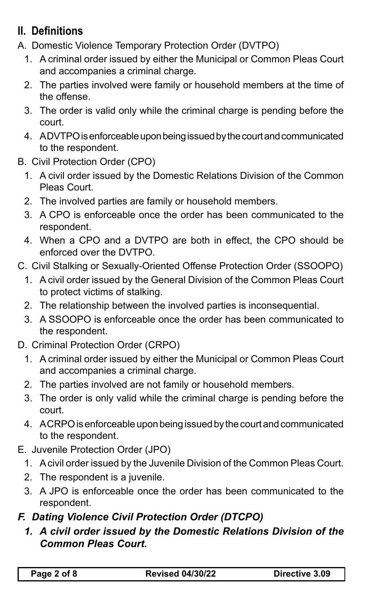# **II. Definitions**

- A. Domestic Violence Temporary Protection Order (DVTPO)
	- 1. A criminal order issued by either the Municipal or Common Pleas Court and accompanies a criminal charge.
	- 2. The parties involved were family or household members at the time of the offense.
	- 3. The order is valid only while the criminal charge is pending before the court.
	- 4. A DVTPO is enforceable upon being issued by the court and communicated to the respondent.
- B. Civil Protection Order (CPO)
	- 1. A civil order issued by the Domestic Relations Division of the Common Pleas Court.
	- 2. The involved parties are family or household members.
	- 3. A CPO is enforceable once the order has been communicated to the respondent.
	- 4. When a CPO and a DVTPO are both in effect, the CPO should be enforced over the DVTPO.
- C. Civil Stalking or Sexually-Oriented Offense Protection Order (SSOOPO)
	- 1. A civil order issued by the General Division of the Common Pleas Court to protect victims of stalking.
	- 2. The relationship between the involved parties is inconsequential.
	- 3. A SSOOPO is enforceable once the order has been communicated to the respondent.
- D. Criminal Protection Order (CRPO)
	- 1. A criminal order issued by either the Municipal or Common Pleas Court and accompanies a criminal charge.
	- 2. The parties involved are not family or household members.
	- 3. The order is only valid while the criminal charge is pending before the court.
	- 4. A CRPO is enforceable upon being issued by the court and communicated to the respondent.
- E. Juvenile Protection Order (JPO)
	- 1. A civil order issued by the Juvenile Division of the Common Pleas Court.
	- 2. The respondent is a juvenile.
	- 3. A JPO is enforceable once the order has been communicated to the respondent.

### *F. Dating Violence Civil Protection Order (DTCPO)*

*1. A civil order issued by the Domestic Relations Division of the Common Pleas Court.*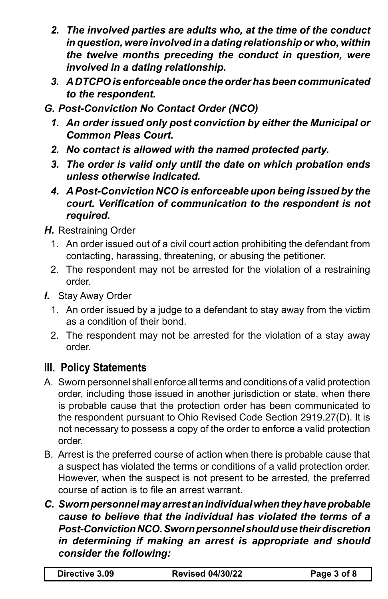- *2. The involved parties are adults who, at the time of the conduct in question, were involved in a dating relationship or who, within the twelve months preceding the conduct in question, were involved in a dating relationship.*
- *3. A DTCPO is enforceable once the order has been communicated to the respondent.*
- *G. Post-Conviction No Contact Order (NCO)*
	- *1. An order issued only post conviction by either the Municipal or Common Pleas Court.*
	- *2. No contact is allowed with the named protected party.*
	- *3. The order is valid only until the date on which probation ends unless otherwise indicated.*
	- *4. A Post-Conviction NCO is enforceable upon being issued by the court. Verification of communication to the respondent is not required.*
- *H.* Restraining Order
	- 1. An order issued out of a civil court action prohibiting the defendant from contacting, harassing, threatening, or abusing the petitioner.
	- 2. The respondent may not be arrested for the violation of a restraining order.
- *I.* Stay Away Order
	- 1. An order issued by a judge to a defendant to stay away from the victim as a condition of their bond.
	- 2. The respondent may not be arrested for the violation of a stay away order.

#### **III. Policy Statements**

- A. Sworn personnel shall enforce all terms and conditions of a valid protection order, including those issued in another jurisdiction or state, when there is probable cause that the protection order has been communicated to the respondent pursuant to Ohio Revised Code Section 2919.27(D). It is not necessary to possess a copy of the order to enforce a valid protection order.
- B. Arrest is the preferred course of action when there is probable cause that a suspect has violated the terms or conditions of a valid protection order. However, when the suspect is not present to be arrested, the preferred course of action is to file an arrest warrant.
- *C. Sworn personnel may arrest an individual when they have probable cause to believe that the individual has violated the terms of a Post-Conviction NCO. Sworn personnel should use their discretion in determining if making an arrest is appropriate and should consider the following:*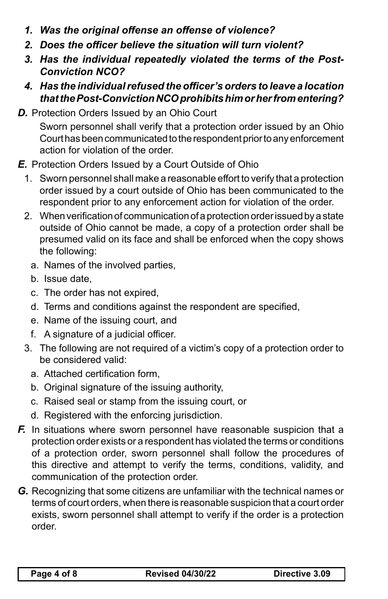- *1. Was the original offense an offense of violence?*
- *2. Does the officer believe the situation will turn violent?*
- *3. Has the individual repeatedly violated the terms of the Post-Conviction NCO?*
- *4. Has the individual refused the officer's orders to leave a location that the Post-Conviction NCO prohibits him or her from entering?*
- **D.** Protection Orders Issued by an Ohio Court

Sworn personnel shall verify that a protection order issued by an Ohio Court has been communicated to the respondent prior to any enforcement action for violation of the order.

- *E.* Protection Orders Issued by a Court Outside of Ohio
	- 1. Sworn personnel shall make a reasonable effort to verify that a protection order issued by a court outside of Ohio has been communicated to the respondent prior to any enforcement action for violation of the order.
	- 2. When verification of communication of a protection order issued by a state outside of Ohio cannot be made, a copy of a protection order shall be presumed valid on its face and shall be enforced when the copy shows the following:
		- a. Names of the involved parties,
		- b. Issue date,
		- c. The order has not expired,
		- d. Terms and conditions against the respondent are specified,
		- e. Name of the issuing court, and
		- f. A signature of a judicial officer.
	- 3. The following are not required of a victim's copy of a protection order to be considered valid:
		- a. Attached certification form,
		- b. Original signature of the issuing authority,
		- c. Raised seal or stamp from the issuing court, or
		- d. Registered with the enforcing jurisdiction.
- *F.* In situations where sworn personnel have reasonable suspicion that a protection order exists or a respondent has violated the terms or conditions of a protection order, sworn personnel shall follow the procedures of this directive and attempt to verify the terms, conditions, validity, and communication of the protection order.
- *G.* Recognizing that some citizens are unfamiliar with the technical names or terms of court orders, when there is reasonable suspicion that a court order exists, sworn personnel shall attempt to verify if the order is a protection order.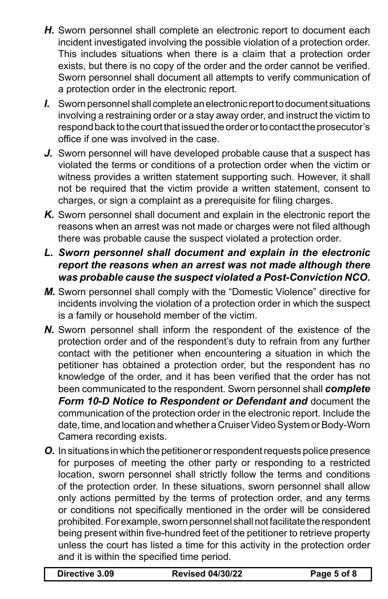- *H.* Sworn personnel shall complete an electronic report to document each incident investigated involving the possible violation of a protection order. This includes situations when there is a claim that a protection order exists, but there is no copy of the order and the order cannot be verified. Sworn personnel shall document all attempts to verify communication of a protection order in the electronic report.
- *I.* Sworn personnel shall complete an electronic report to document situations involving a restraining order or a stay away order, and instruct the victim to respond back to the court that issued the order or to contact the prosecutor's office if one was involved in the case.
- *J.* Sworn personnel will have developed probable cause that a suspect has violated the terms or conditions of a protection order when the victim or witness provides a written statement supporting such. However, it shall not be required that the victim provide a written statement, consent to charges, or sign a complaint as a prerequisite for filing charges.
- *K.* Sworn personnel shall document and explain in the electronic report the reasons when an arrest was not made or charges were not filed although there was probable cause the suspect violated a protection order.
- *L. Sworn personnel shall document and explain in the electronic report the reasons when an arrest was not made although there was probable cause the suspect violated a Post-Conviction NCO.*
- *M.* Sworn personnel shall comply with the "Domestic Violence" directive for incidents involving the violation of a protection order in which the suspect is a family or household member of the victim.
- *N.* Sworn personnel shall inform the respondent of the existence of the protection order and of the respondent's duty to refrain from any further contact with the petitioner when encountering a situation in which the petitioner has obtained a protection order, but the respondent has no knowledge of the order, and it has been verified that the order has not been communicated to the respondent. Sworn personnel shall *complete Form 10-D Notice to Respondent or Defendant and* document the communication of the protection order in the electronic report. Include the date, time, and location and whether a Cruiser Video System or Body-Worn Camera recording exists.
- *O.* In situations in which the petitioner or respondent requests police presence for purposes of meeting the other party or responding to a restricted location, sworn personnel shall strictly follow the terms and conditions of the protection order. In these situations, sworn personnel shall allow only actions permitted by the terms of protection order, and any terms or conditions not specifically mentioned in the order will be considered prohibited. For example, sworn personnel shall not facilitate the respondent being present within five-hundred feet of the petitioner to retrieve property unless the court has listed a time for this activity in the protection order and it is within the specified time period.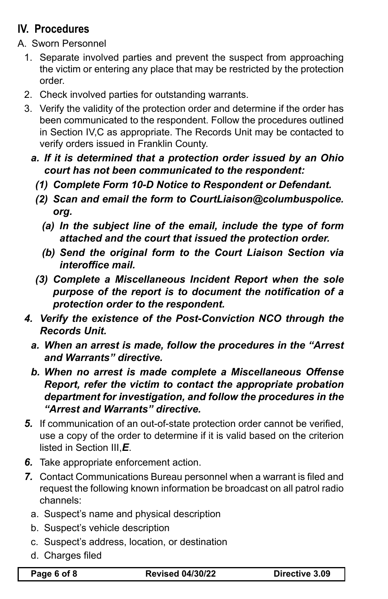# **IV. Procedures**

- A. Sworn Personnel
	- 1. Separate involved parties and prevent the suspect from approaching the victim or entering any place that may be restricted by the protection order.
	- 2. Check involved parties for outstanding warrants.
	- 3. Verify the validity of the protection order and determine if the order has been communicated to the respondent. Follow the procedures outlined in Section IV,C as appropriate. The Records Unit may be contacted to verify orders issued in Franklin County.
		- *a. If it is determined that a protection order issued by an Ohio court has not been communicated to the respondent:*
			- *(1) Complete Form 10-D Notice to Respondent or Defendant.*
			- *(2) Scan and email the form to CourtLiaison@columbuspolice. org.*
				- *(a) In the subject line of the email, include the type of form attached and the court that issued the protection order.*
				- *(b) Send the original form to the Court Liaison Section via interoffice mail.*
			- *(3) Complete a Miscellaneous Incident Report when the sole purpose of the report is to document the notification of a protection order to the respondent.*
	- *4. Verify the existence of the Post-Conviction NCO through the Records Unit.*
		- *a. When an arrest is made, follow the procedures in the "Arrest and Warrants" directive.*
		- *b. When no arrest is made complete a Miscellaneous Offense Report, refer the victim to contact the appropriate probation department for investigation, and follow the procedures in the "Arrest and Warrants" directive.*
	- *5.* If communication of an out-of-state protection order cannot be verified, use a copy of the order to determine if it is valid based on the criterion listed in Section III,*E*.
	- *6.* Take appropriate enforcement action.
	- *7.* Contact Communications Bureau personnel when a warrant is filed and request the following known information be broadcast on all patrol radio channels:
		- a. Suspect's name and physical description
		- b. Suspect's vehicle description
		- c. Suspect's address, location, or destination
		- d. Charges filed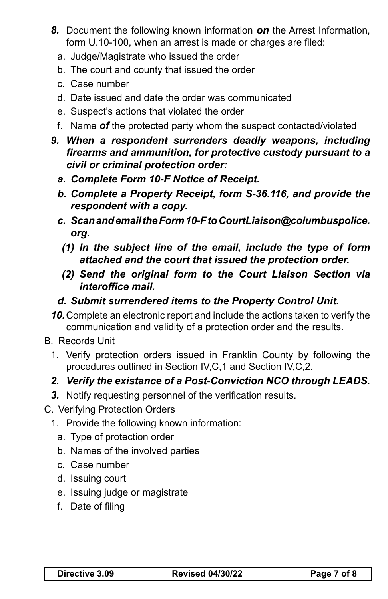- *8.* Document the following known information *on* the Arrest Information, form U.10-100, when an arrest is made or charges are filed:
	- a. Judge/Magistrate who issued the order
	- b. The court and county that issued the order
	- c. Case number
	- d. Date issued and date the order was communicated
	- e. Suspect's actions that violated the order
	- f. Name *of* the protected party whom the suspect contacted/violated
- *9. When a respondent surrenders deadly weapons, including firearms and ammunition, for protective custody pursuant to a civil or criminal protection order:*
	- *a. Complete Form 10-F Notice of Receipt.*
	- *b. Complete a Property Receipt, form S-36.116, and provide the respondent with a copy.*
	- *c. Scan and email the Form 10-F to CourtLiaison@columbuspolice. org.*
	- *(1) In the subject line of the email, include the type of form attached and the court that issued the protection order.*
	- *(2) Send the original form to the Court Liaison Section via interoffice mail.*
	- *d. Submit surrendered items to the Property Control Unit.*
- *10.*Complete an electronic report and include the actions taken to verify the communication and validity of a protection order and the results.
- B. Records Unit
	- 1. Verify protection orders issued in Franklin County by following the procedures outlined in Section IV,C,1 and Section IV,C,2.
	- *2. Verify the existance of a Post-Conviction NCO through LEADS.*
	- *3.* Notify requesting personnel of the verification results.
- C. Verifying Protection Orders
	- 1. Provide the following known information:
		- a. Type of protection order
		- b. Names of the involved parties
		- c. Case number
		- d. Issuing court
		- e. Issuing judge or magistrate
		- f. Date of filing